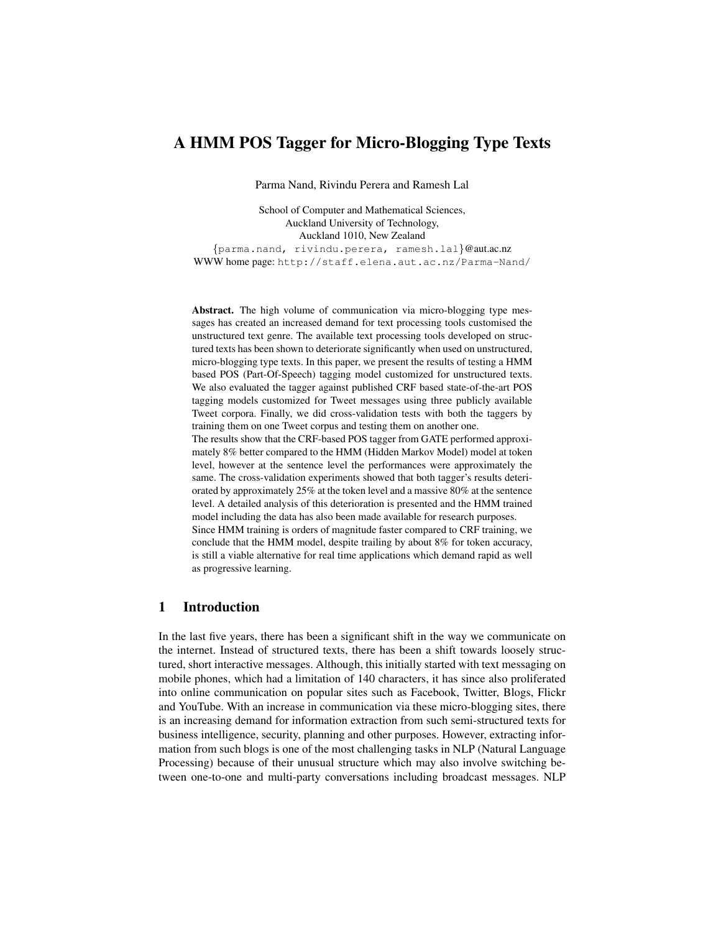# A HMM POS Tagger for Micro-Blogging Type Texts

Parma Nand, Rivindu Perera and Ramesh Lal

School of Computer and Mathematical Sciences, Auckland University of Technology, Auckland 1010, New Zealand {parma.nand, rivindu.perera, ramesh.lal}@aut.ac.nz WWW home page: http://staff.elena.aut.ac.nz/Parma-Nand/

Abstract. The high volume of communication via micro-blogging type messages has created an increased demand for text processing tools customised the unstructured text genre. The available text processing tools developed on structured texts has been shown to deteriorate significantly when used on unstructured, micro-blogging type texts. In this paper, we present the results of testing a HMM based POS (Part-Of-Speech) tagging model customized for unstructured texts. We also evaluated the tagger against published CRF based state-of-the-art POS tagging models customized for Tweet messages using three publicly available Tweet corpora. Finally, we did cross-validation tests with both the taggers by training them on one Tweet corpus and testing them on another one. The results show that the CRF-based POS tagger from GATE performed approximately 8% better compared to the HMM (Hidden Markov Model) model at token level, however at the sentence level the performances were approximately the same. The cross-validation experiments showed that both tagger's results deteriorated by approximately 25% at the token level and a massive 80% at the sentence level. A detailed analysis of this deterioration is presented and the HMM trained model including the data has also been made available for research purposes. Since HMM training is orders of magnitude faster compared to CRF training, we conclude that the HMM model, despite trailing by about 8% for token accuracy, is still a viable alternative for real time applications which demand rapid as well as progressive learning.

#### 1 Introduction

In the last five years, there has been a significant shift in the way we communicate on the internet. Instead of structured texts, there has been a shift towards loosely structured, short interactive messages. Although, this initially started with text messaging on mobile phones, which had a limitation of 140 characters, it has since also proliferated into online communication on popular sites such as Facebook, Twitter, Blogs, Flickr and YouTube. With an increase in communication via these micro-blogging sites, there is an increasing demand for information extraction from such semi-structured texts for business intelligence, security, planning and other purposes. However, extracting information from such blogs is one of the most challenging tasks in NLP (Natural Language Processing) because of their unusual structure which may also involve switching between one-to-one and multi-party conversations including broadcast messages. NLP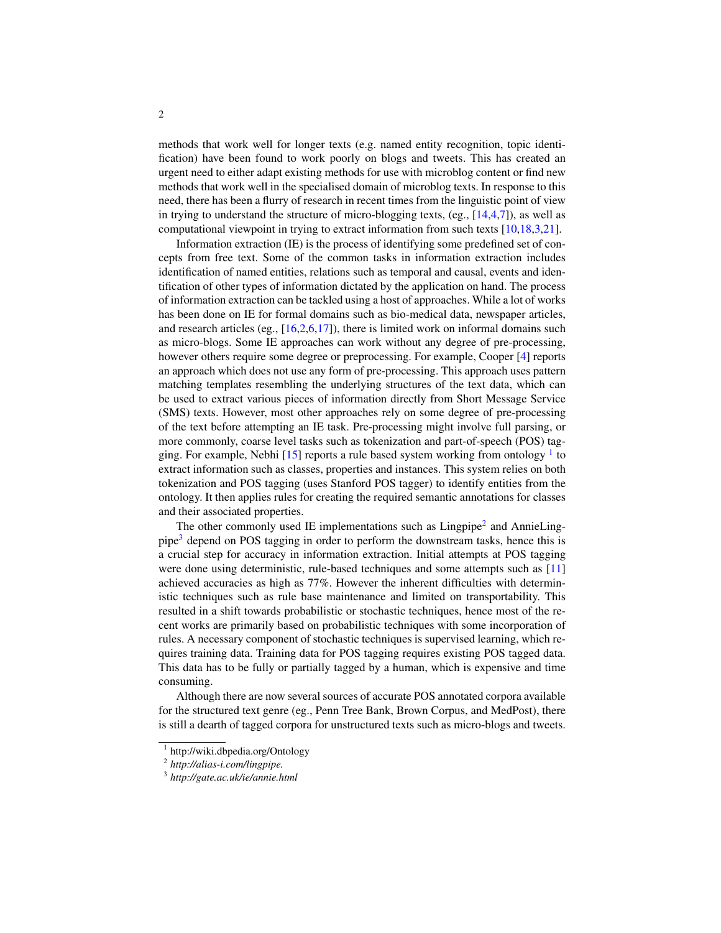methods that work well for longer texts (e.g. named entity recognition, topic identification) have been found to work poorly on blogs and tweets. This has created an urgent need to either adapt existing methods for use with microblog content or find new methods that work well in the specialised domain of microblog texts. In response to this need, there has been a flurry of research in recent times from the linguistic point of view in trying to understand the structure of micro-blogging texts, (eg., [\[14,](#page-12-0)[4,](#page-11-0)[7\]](#page-12-1)), as well as computational viewpoint in trying to extract information from such texts [\[10,](#page-12-2)[18,](#page-12-3)[3,](#page-11-1)[21\]](#page-12-4).

Information extraction (IE) is the process of identifying some predefined set of concepts from free text. Some of the common tasks in information extraction includes identification of named entities, relations such as temporal and causal, events and identification of other types of information dictated by the application on hand. The process of information extraction can be tackled using a host of approaches. While a lot of works has been done on IE for formal domains such as bio-medical data, newspaper articles, and research articles (eg.,  $[16,2,6,17]$  $[16,2,6,17]$  $[16,2,6,17]$  $[16,2,6,17]$ ), there is limited work on informal domains such as micro-blogs. Some IE approaches can work without any degree of pre-processing, however others require some degree or preprocessing. For example, Cooper [\[4\]](#page-11-0) reports an approach which does not use any form of pre-processing. This approach uses pattern matching templates resembling the underlying structures of the text data, which can be used to extract various pieces of information directly from Short Message Service (SMS) texts. However, most other approaches rely on some degree of pre-processing of the text before attempting an IE task. Pre-processing might involve full parsing, or more commonly, coarse level tasks such as tokenization and part-of-speech (POS) tag-ging. For example, Nebhi [\[15\]](#page-12-8) reports a rule based system working from ontology <sup>[1](#page-1-0)</sup> to extract information such as classes, properties and instances. This system relies on both tokenization and POS tagging (uses Stanford POS tagger) to identify entities from the ontology. It then applies rules for creating the required semantic annotations for classes and their associated properties.

The other commonly used IE implementations such as Lingpipe<sup>[2](#page-1-1)</sup> and AnnieLingpipe[3](#page-1-2) depend on POS tagging in order to perform the downstream tasks, hence this is a crucial step for accuracy in information extraction. Initial attempts at POS tagging were done using deterministic, rule-based techniques and some attempts such as [\[11\]](#page-12-9) achieved accuracies as high as 77%. However the inherent difficulties with deterministic techniques such as rule base maintenance and limited on transportability. This resulted in a shift towards probabilistic or stochastic techniques, hence most of the recent works are primarily based on probabilistic techniques with some incorporation of rules. A necessary component of stochastic techniques is supervised learning, which requires training data. Training data for POS tagging requires existing POS tagged data. This data has to be fully or partially tagged by a human, which is expensive and time consuming.

Although there are now several sources of accurate POS annotated corpora available for the structured text genre (eg., Penn Tree Bank, Brown Corpus, and MedPost), there is still a dearth of tagged corpora for unstructured texts such as micro-blogs and tweets.

<span id="page-1-0"></span><sup>1</sup> http://wiki.dbpedia.org/Ontology

<span id="page-1-1"></span><sup>2</sup> *http://alias-i.com/lingpipe.*

<span id="page-1-2"></span><sup>3</sup> *http://gate.ac.uk/ie/annie.html*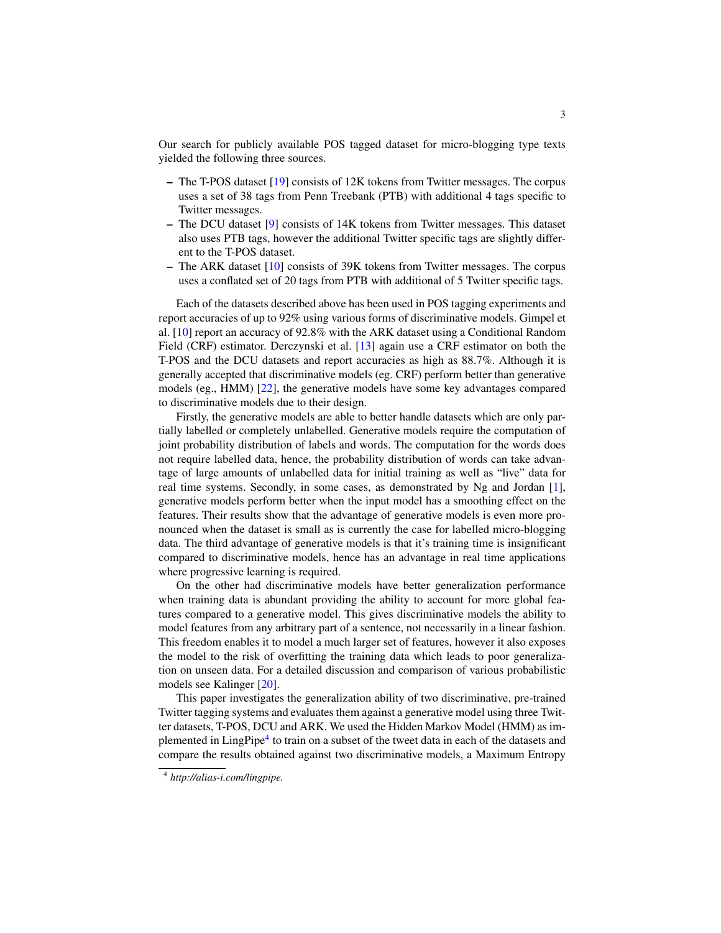Our search for publicly available POS tagged dataset for micro-blogging type texts yielded the following three sources.

- The T-POS dataset [\[19\]](#page-12-10) consists of 12K tokens from Twitter messages. The corpus uses a set of 38 tags from Penn Treebank (PTB) with additional 4 tags specific to Twitter messages.
- The DCU dataset [\[9\]](#page-12-11) consists of 14K tokens from Twitter messages. This dataset also uses PTB tags, however the additional Twitter specific tags are slightly different to the T-POS dataset.
- The ARK dataset [\[10\]](#page-12-2) consists of 39K tokens from Twitter messages. The corpus uses a conflated set of 20 tags from PTB with additional of 5 Twitter specific tags.

Each of the datasets described above has been used in POS tagging experiments and report accuracies of up to 92% using various forms of discriminative models. Gimpel et al. [\[10\]](#page-12-2) report an accuracy of 92.8% with the ARK dataset using a Conditional Random Field (CRF) estimator. Derczynski et al. [\[13\]](#page-12-12) again use a CRF estimator on both the T-POS and the DCU datasets and report accuracies as high as 88.7%. Although it is generally accepted that discriminative models (eg. CRF) perform better than generative models (eg., HMM) [\[22\]](#page-12-13), the generative models have some key advantages compared to discriminative models due to their design.

Firstly, the generative models are able to better handle datasets which are only partially labelled or completely unlabelled. Generative models require the computation of joint probability distribution of labels and words. The computation for the words does not require labelled data, hence, the probability distribution of words can take advantage of large amounts of unlabelled data for initial training as well as "live" data for real time systems. Secondly, in some cases, as demonstrated by Ng and Jordan [\[1\]](#page-11-3), generative models perform better when the input model has a smoothing effect on the features. Their results show that the advantage of generative models is even more pronounced when the dataset is small as is currently the case for labelled micro-blogging data. The third advantage of generative models is that it's training time is insignificant compared to discriminative models, hence has an advantage in real time applications where progressive learning is required.

On the other had discriminative models have better generalization performance when training data is abundant providing the ability to account for more global features compared to a generative model. This gives discriminative models the ability to model features from any arbitrary part of a sentence, not necessarily in a linear fashion. This freedom enables it to model a much larger set of features, however it also exposes the model to the risk of overfitting the training data which leads to poor generalization on unseen data. For a detailed discussion and comparison of various probabilistic models see Kalinger [\[20\]](#page-12-14).

This paper investigates the generalization ability of two discriminative, pre-trained Twitter tagging systems and evaluates them against a generative model using three Twitter datasets, T-POS, DCU and ARK. We used the Hidden Markov Model (HMM) as im-plemented in LingPipe<sup>[4](#page-2-0)</sup> to train on a subset of the tweet data in each of the datasets and compare the results obtained against two discriminative models, a Maximum Entropy

<span id="page-2-0"></span><sup>4</sup> *http://alias-i.com/lingpipe.*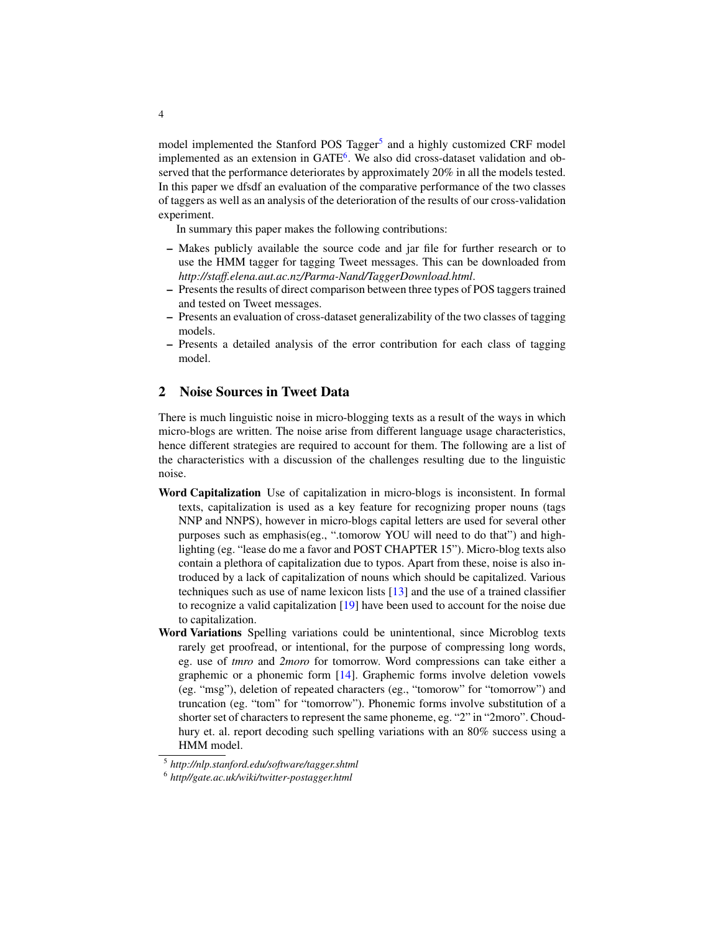model implemented the Stanford POS Tagger<sup>[5](#page-3-0)</sup> and a highly customized CRF model implemented as an extension in GATE<sup>[6](#page-3-1)</sup>. We also did cross-dataset validation and observed that the performance deteriorates by approximately 20% in all the models tested. In this paper we dfsdf an evaluation of the comparative performance of the two classes of taggers as well as an analysis of the deterioration of the results of our cross-validation experiment.

In summary this paper makes the following contributions:

- Makes publicly available the source code and jar file for further research or to use the HMM tagger for tagging Tweet messages. This can be downloaded from *http://staff.elena.aut.ac.nz/Parma-Nand/TaggerDownload.html*.
- Presents the results of direct comparison between three types of POS taggers trained and tested on Tweet messages.
- Presents an evaluation of cross-dataset generalizability of the two classes of tagging models.
- Presents a detailed analysis of the error contribution for each class of tagging model.

#### 2 Noise Sources in Tweet Data

There is much linguistic noise in micro-blogging texts as a result of the ways in which micro-blogs are written. The noise arise from different language usage characteristics, hence different strategies are required to account for them. The following are a list of the characteristics with a discussion of the challenges resulting due to the linguistic noise.

- Word Capitalization Use of capitalization in micro-blogs is inconsistent. In formal texts, capitalization is used as a key feature for recognizing proper nouns (tags NNP and NNPS), however in micro-blogs capital letters are used for several other purposes such as emphasis(eg., ".tomorow YOU will need to do that") and highlighting (eg. "lease do me a favor and POST CHAPTER 15"). Micro-blog texts also contain a plethora of capitalization due to typos. Apart from these, noise is also introduced by a lack of capitalization of nouns which should be capitalized. Various techniques such as use of name lexicon lists [\[13\]](#page-12-12) and the use of a trained classifier to recognize a valid capitalization [\[19\]](#page-12-10) have been used to account for the noise due to capitalization.
- Word Variations Spelling variations could be unintentional, since Microblog texts rarely get proofread, or intentional, for the purpose of compressing long words, eg. use of *tmro* and *2moro* for tomorrow. Word compressions can take either a graphemic or a phonemic form [\[14\]](#page-12-0). Graphemic forms involve deletion vowels (eg. "msg"), deletion of repeated characters (eg., "tomorow" for "tomorrow") and truncation (eg. "tom" for "tomorrow"). Phonemic forms involve substitution of a shorter set of characters to represent the same phoneme, eg. "2" in "2moro". Choudhury et. al. report decoding such spelling variations with an 80% success using a HMM model.

<span id="page-3-0"></span><sup>5</sup> *http://nlp.stanford.edu/software/tagger.shtml*

<span id="page-3-1"></span><sup>6</sup> *http//gate.ac.uk/wiki/twitter-postagger.html*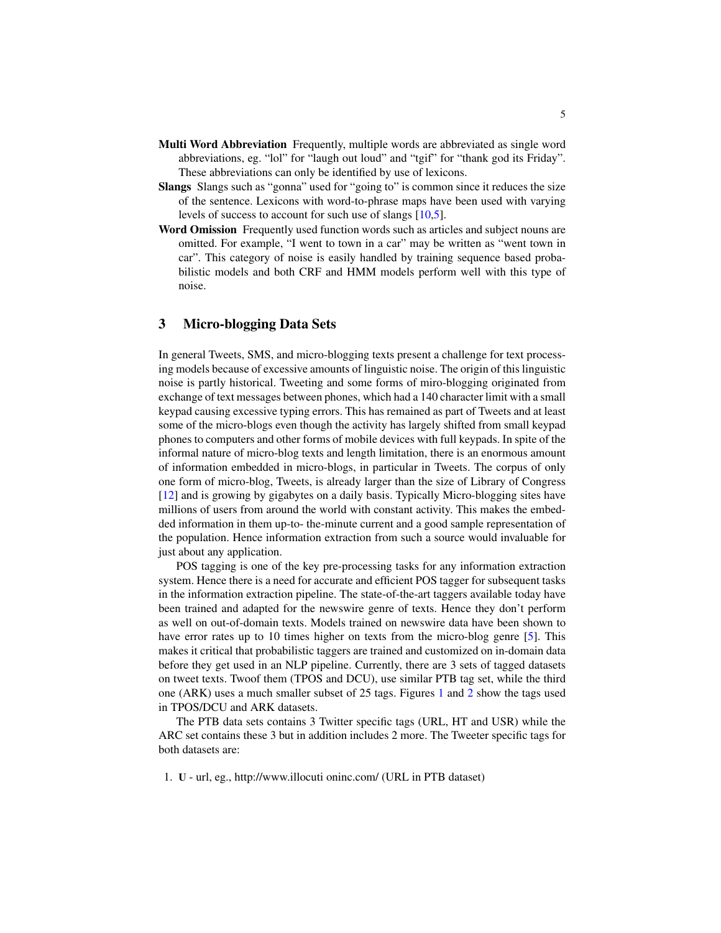- Multi Word Abbreviation Frequently, multiple words are abbreviated as single word abbreviations, eg. "lol" for "laugh out loud" and "tgif" for "thank god its Friday". These abbreviations can only be identified by use of lexicons.
- Slangs Slangs such as "gonna" used for "going to" is common since it reduces the size of the sentence. Lexicons with word-to-phrase maps have been used with varying levels of success to account for such use of slangs [\[10,](#page-12-2)[5\]](#page-12-15).
- Word Omission Frequently used function words such as articles and subject nouns are omitted. For example, "I went to town in a car" may be written as "went town in car". This category of noise is easily handled by training sequence based probabilistic models and both CRF and HMM models perform well with this type of noise.

## <span id="page-4-0"></span>3 Micro-blogging Data Sets

In general Tweets, SMS, and micro-blogging texts present a challenge for text processing models because of excessive amounts of linguistic noise. The origin of this linguistic noise is partly historical. Tweeting and some forms of miro-blogging originated from exchange of text messages between phones, which had a 140 character limit with a small keypad causing excessive typing errors. This has remained as part of Tweets and at least some of the micro-blogs even though the activity has largely shifted from small keypad phones to computers and other forms of mobile devices with full keypads. In spite of the informal nature of micro-blog texts and length limitation, there is an enormous amount of information embedded in micro-blogs, in particular in Tweets. The corpus of only one form of micro-blog, Tweets, is already larger than the size of Library of Congress [\[12\]](#page-12-16) and is growing by gigabytes on a daily basis. Typically Micro-blogging sites have millions of users from around the world with constant activity. This makes the embedded information in them up-to- the-minute current and a good sample representation of the population. Hence information extraction from such a source would invaluable for just about any application.

POS tagging is one of the key pre-processing tasks for any information extraction system. Hence there is a need for accurate and efficient POS tagger for subsequent tasks in the information extraction pipeline. The state-of-the-art taggers available today have been trained and adapted for the newswire genre of texts. Hence they don't perform as well on out-of-domain texts. Models trained on newswire data have been shown to have error rates up to 10 times higher on texts from the micro-blog genre [\[5\]](#page-12-15). This makes it critical that probabilistic taggers are trained and customized on in-domain data before they get used in an NLP pipeline. Currently, there are 3 sets of tagged datasets on tweet texts. Twoof them (TPOS and DCU), use similar PTB tag set, while the third one (ARK) uses a much smaller subset of 25 tags. Figures [1](#page-5-0) and [2](#page-5-1) show the tags used in TPOS/DCU and ARK datasets.

The PTB data sets contains 3 Twitter specific tags (URL, HT and USR) while the ARC set contains these 3 but in addition includes 2 more. The Tweeter specific tags for both datasets are:

1. U - url, eg., http://www.illocuti oninc.com/ (URL in PTB dataset)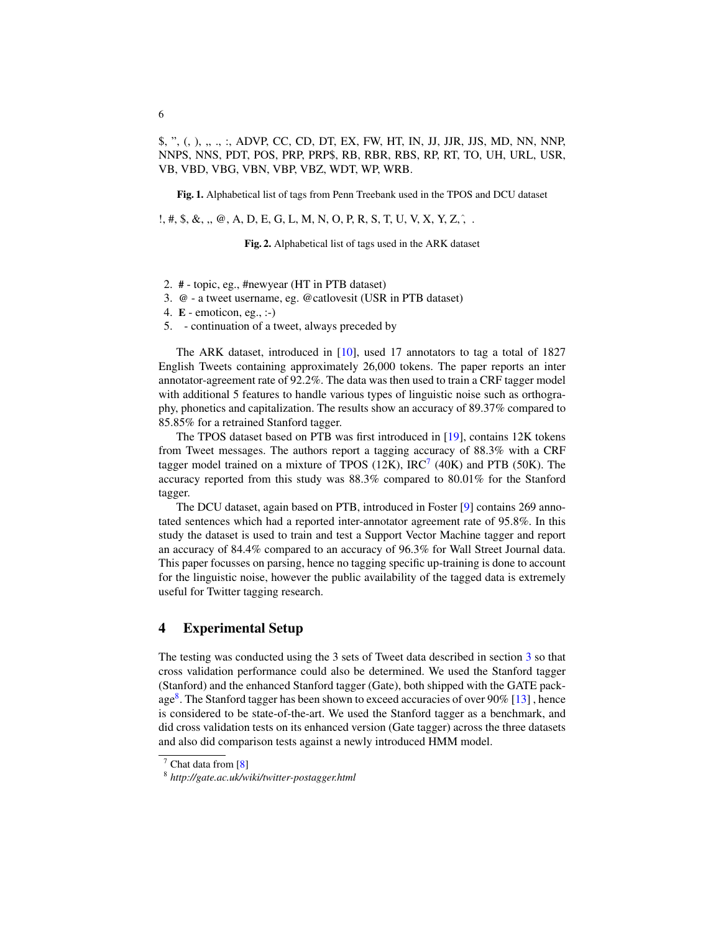\$, ", (, ), ,, ., :, ADVP, CC, CD, DT, EX, FW, HT, IN, JJ, JJR, JJS, MD, NN, NNP, NNPS, NNS, PDT, POS, PRP, PRP\$, RB, RBR, RBS, RP, RT, TO, UH, URL, USR, VB, VBD, VBG, VBN, VBP, VBZ, WDT, WP, WRB.

<span id="page-5-0"></span>Fig. 1. Alphabetical list of tags from Penn Treebank used in the TPOS and DCU dataset

!, #, \$, &, ., @, A, D, E, G, L, M, N, O, P, R, S, T, U, V, X, Y, Z,  $\hat{ }$ .

<span id="page-5-1"></span>Fig. 2. Alphabetical list of tags used in the ARK dataset

- 2. # topic, eg., #newyear (HT in PTB dataset)
- 3. @ a tweet username, eg. @catlovesit (USR in PTB dataset)
- 4. E emoticon, eg., :-)
- 5. continuation of a tweet, always preceded by

The ARK dataset, introduced in [\[10\]](#page-12-2), used 17 annotators to tag a total of 1827 English Tweets containing approximately 26,000 tokens. The paper reports an inter annotator-agreement rate of 92.2%. The data was then used to train a CRF tagger model with additional 5 features to handle various types of linguistic noise such as orthography, phonetics and capitalization. The results show an accuracy of 89.37% compared to 85.85% for a retrained Stanford tagger.

The TPOS dataset based on PTB was first introduced in [\[19\]](#page-12-10), contains 12K tokens from Tweet messages. The authors report a tagging accuracy of 88.3% with a CRF tagger model trained on a mixture of TPOS (12K),  $\text{IRC}^7$  $\text{IRC}^7$  (40K) and PTB (50K). The accuracy reported from this study was 88.3% compared to 80.01% for the Stanford tagger.

The DCU dataset, again based on PTB, introduced in Foster [\[9\]](#page-12-11) contains 269 annotated sentences which had a reported inter-annotator agreement rate of 95.8%. In this study the dataset is used to train and test a Support Vector Machine tagger and report an accuracy of 84.4% compared to an accuracy of 96.3% for Wall Street Journal data. This paper focusses on parsing, hence no tagging specific up-training is done to account for the linguistic noise, however the public availability of the tagged data is extremely useful for Twitter tagging research.

## 4 Experimental Setup

The testing was conducted using the 3 sets of Tweet data described in section [3](#page-4-0) so that cross validation performance could also be determined. We used the Stanford tagger (Stanford) and the enhanced Stanford tagger (Gate), both shipped with the GATE pack-age<sup>[8](#page-5-3)</sup>. The Stanford tagger has been shown to exceed accuracies of over 90% [\[13\]](#page-12-12) , hence is considered to be state-of-the-art. We used the Stanford tagger as a benchmark, and did cross validation tests on its enhanced version (Gate tagger) across the three datasets and also did comparison tests against a newly introduced HMM model.

6

<span id="page-5-2"></span><sup>7</sup> Chat data from [\[8\]](#page-12-17)

<span id="page-5-3"></span><sup>8</sup> *http://gate.ac.uk/wiki/twitter-postagger.html*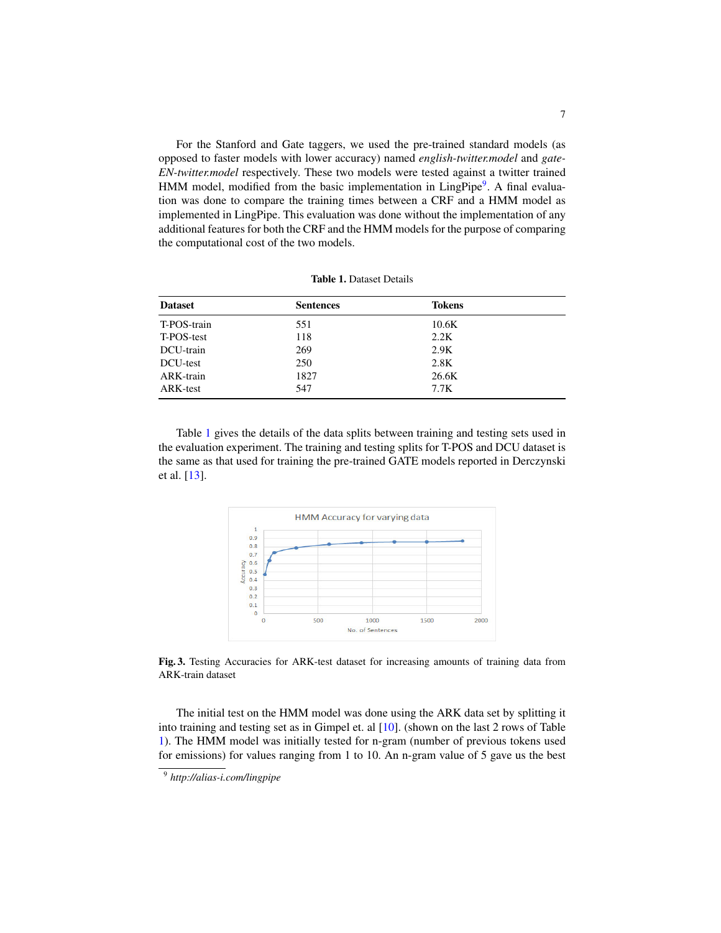For the Stanford and Gate taggers, we used the pre-trained standard models (as opposed to faster models with lower accuracy) named *english-twitter.model* and *gate-EN-twitter.model* respectively. These two models were tested against a twitter trained HMM model, modified from the basic implementation in LingPipe<sup>[9](#page-6-0)</sup>. A final evaluation was done to compare the training times between a CRF and a HMM model as implemented in LingPipe. This evaluation was done without the implementation of any additional features for both the CRF and the HMM models for the purpose of comparing the computational cost of the two models.

| <b>Dataset</b> | <b>Sentences</b> | <b>Tokens</b> |  |
|----------------|------------------|---------------|--|
| T-POS-train    | 551              | 10.6K         |  |
| T-POS-test     | 118              | 2.2K          |  |
| DCU-train      | 269              | 2.9K          |  |
| DCU-test       | 250              | 2.8K          |  |
| ARK-train      | 1827             | 26.6K         |  |
| ARK-test       | 547              | 7.7K          |  |

<span id="page-6-1"></span>Table 1. Dataset Details

Table [1](#page-6-1) gives the details of the data splits between training and testing sets used in the evaluation experiment. The training and testing splits for T-POS and DCU dataset is the same as that used for training the pre-trained GATE models reported in Derczynski et al. [\[13\]](#page-12-12).



<span id="page-6-2"></span>Fig. 3. Testing Accuracies for ARK-test dataset for increasing amounts of training data from ARK-train dataset

The initial test on the HMM model was done using the ARK data set by splitting it into training and testing set as in Gimpel et. al [\[10\]](#page-12-2). (shown on the last 2 rows of Table [1\)](#page-6-1). The HMM model was initially tested for n-gram (number of previous tokens used for emissions) for values ranging from 1 to 10. An n-gram value of 5 gave us the best

<span id="page-6-0"></span><sup>9</sup> *http://alias-i.com/lingpipe*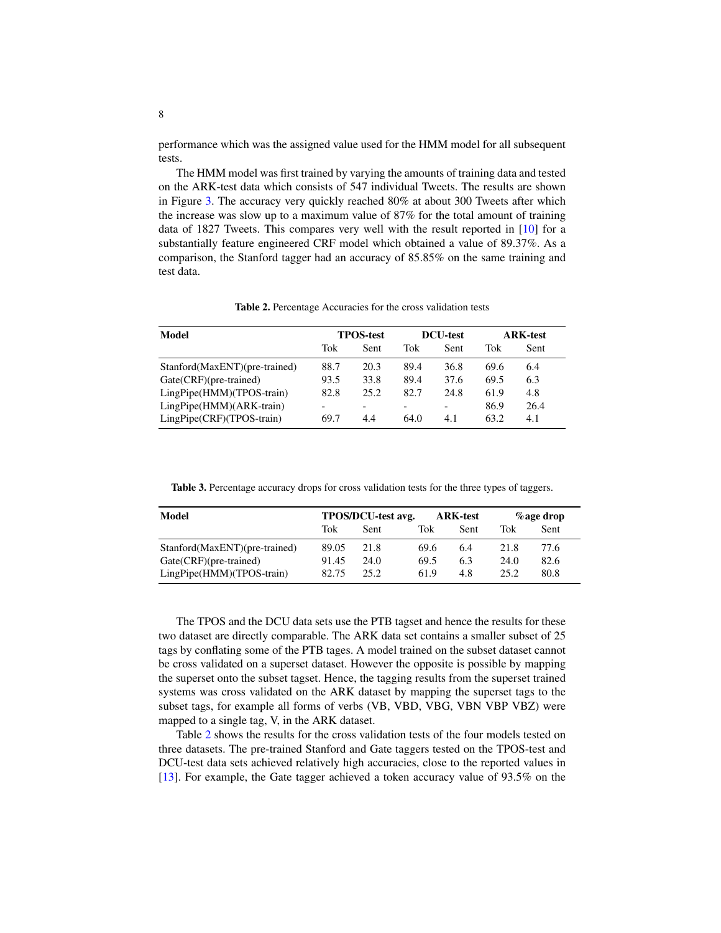performance which was the assigned value used for the HMM model for all subsequent tests.

The HMM model was first trained by varying the amounts of training data and tested on the ARK-test data which consists of 547 individual Tweets. The results are shown in Figure [3.](#page-6-2) The accuracy very quickly reached 80% at about 300 Tweets after which the increase was slow up to a maximum value of 87% for the total amount of training data of 1827 Tweets. This compares very well with the result reported in [\[10\]](#page-12-2) for a substantially feature engineered CRF model which obtained a value of 89.37%. As a comparison, the Stanford tagger had an accuracy of 85.85% on the same training and test data.

| Model                         | <b>TPOS-test</b> |      | <b>DCU-test</b> |      | <b>ARK-test</b> |             |
|-------------------------------|------------------|------|-----------------|------|-----------------|-------------|
|                               | Tok              | Sent | Tok             | Sent | Tok             | <b>Sent</b> |
| Stanford(MaxENT)(pre-trained) | 88.7             | 20.3 | 89.4            | 36.8 | 69.6            | 6.4         |
| Gate(CRF)(pre-trained)        | 93.5             | 33.8 | 89.4            | 37.6 | 69.5            | 6.3         |
| LingPipe(HMM)(TPOS-train)     | 82.8             | 25.2 | 82.7            | 24.8 | 61.9            | 4.8         |
| LingPipe(HMM)(ARK-train)      |                  |      |                 |      | 86.9            | 26.4        |
| LingPipe(CRF)(TPOS-train)     | 69.7             | 4.4  | 64.0            | 4.1  | 63.2            | 4.1         |

<span id="page-7-0"></span>Table 2. Percentage Accuracies for the cross validation tests

<span id="page-7-1"></span>Table 3. Percentage accuracy drops for cross validation tests for the three types of taggers.

| Model                         | TPOS/DCU-test avg. |      |      | <b>ARK-test</b> |      | %age drop   |  |
|-------------------------------|--------------------|------|------|-----------------|------|-------------|--|
|                               | Tok                | Sent | Tok  | Sent            | Tok  | <b>Sent</b> |  |
| Stanford(MaxENT)(pre-trained) | 89.05              | 21.8 | 69.6 | 6.4             | 21.8 | 77.6        |  |
| Gate(CRF)(pre-trained)        | 91.45              | 24.0 | 69.5 | 6.3             | 24.0 | 82.6        |  |
| LingPipe(HMM)(TPOS-train)     | 82.75              | 25.2 | 61.9 | 4.8             | 25.2 | 80.8        |  |

The TPOS and the DCU data sets use the PTB tagset and hence the results for these two dataset are directly comparable. The ARK data set contains a smaller subset of 25 tags by conflating some of the PTB tages. A model trained on the subset dataset cannot be cross validated on a superset dataset. However the opposite is possible by mapping the superset onto the subset tagset. Hence, the tagging results from the superset trained systems was cross validated on the ARK dataset by mapping the superset tags to the subset tags, for example all forms of verbs (VB, VBD, VBG, VBN VBP VBZ) were mapped to a single tag, V, in the ARK dataset.

Table [2](#page-7-0) shows the results for the cross validation tests of the four models tested on three datasets. The pre-trained Stanford and Gate taggers tested on the TPOS-test and DCU-test data sets achieved relatively high accuracies, close to the reported values in [\[13\]](#page-12-12). For example, the Gate tagger achieved a token accuracy value of 93.5% on the

8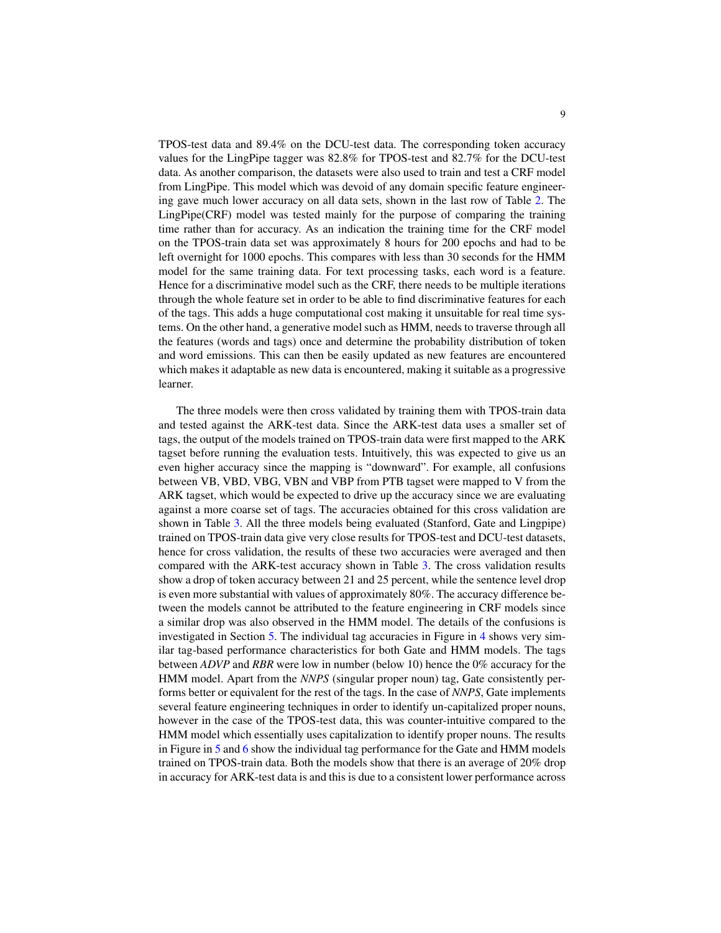TPOS-test data and 89.4% on the DCU-test data. The corresponding token accuracy values for the LingPipe tagger was 82.8% for TPOS-test and 82.7% for the DCU-test data. As another comparison, the datasets were also used to train and test a CRF model from LingPipe. This model which was devoid of any domain specific feature engineering gave much lower accuracy on all data sets, shown in the last row of Table [2.](#page-7-0) The LingPipe(CRF) model was tested mainly for the purpose of comparing the training time rather than for accuracy. As an indication the training time for the CRF model on the TPOS-train data set was approximately 8 hours for 200 epochs and had to be left overnight for 1000 epochs. This compares with less than 30 seconds for the HMM model for the same training data. For text processing tasks, each word is a feature. Hence for a discriminative model such as the CRF, there needs to be multiple iterations through the whole feature set in order to be able to find discriminative features for each of the tags. This adds a huge computational cost making it unsuitable for real time systems. On the other hand, a generative model such as HMM, needs to traverse through all the features (words and tags) once and determine the probability distribution of token and word emissions. This can then be easily updated as new features are encountered which makes it adaptable as new data is encountered, making it suitable as a progressive learner.

The three models were then cross validated by training them with TPOS-train data and tested against the ARK-test data. Since the ARK-test data uses a smaller set of tags, the output of the models trained on TPOS-train data were first mapped to the ARK tagset before running the evaluation tests. Intuitively, this was expected to give us an even higher accuracy since the mapping is "downward". For example, all confusions between VB, VBD, VBG, VBN and VBP from PTB tagset were mapped to V from the ARK tagset, which would be expected to drive up the accuracy since we are evaluating against a more coarse set of tags. The accuracies obtained for this cross validation are shown in Table [3.](#page-7-1) All the three models being evaluated (Stanford, Gate and Lingpipe) trained on TPOS-train data give very close results for TPOS-test and DCU-test datasets, hence for cross validation, the results of these two accuracies were averaged and then compared with the ARK-test accuracy shown in Table [3.](#page-7-1) The cross validation results show a drop of token accuracy between 21 and 25 percent, while the sentence level drop is even more substantial with values of approximately 80%. The accuracy difference between the models cannot be attributed to the feature engineering in CRF models since a similar drop was also observed in the HMM model. The details of the confusions is investigated in Section [5.](#page-9-0) The individual tag accuracies in Figure in [4](#page-9-1) shows very similar tag-based performance characteristics for both Gate and HMM models. The tags between *ADVP* and *RBR* were low in number (below 10) hence the 0% accuracy for the HMM model. Apart from the *NNPS* (singular proper noun) tag, Gate consistently performs better or equivalent for the rest of the tags. In the case of *NNPS*, Gate implements several feature engineering techniques in order to identify un-capitalized proper nouns, however in the case of the TPOS-test data, this was counter-intuitive compared to the HMM model which essentially uses capitalization to identify proper nouns. The results in Figure in [5](#page-9-2) and [6](#page-10-0) show the individual tag performance for the Gate and HMM models trained on TPOS-train data. Both the models show that there is an average of 20% drop in accuracy for ARK-test data is and this is due to a consistent lower performance across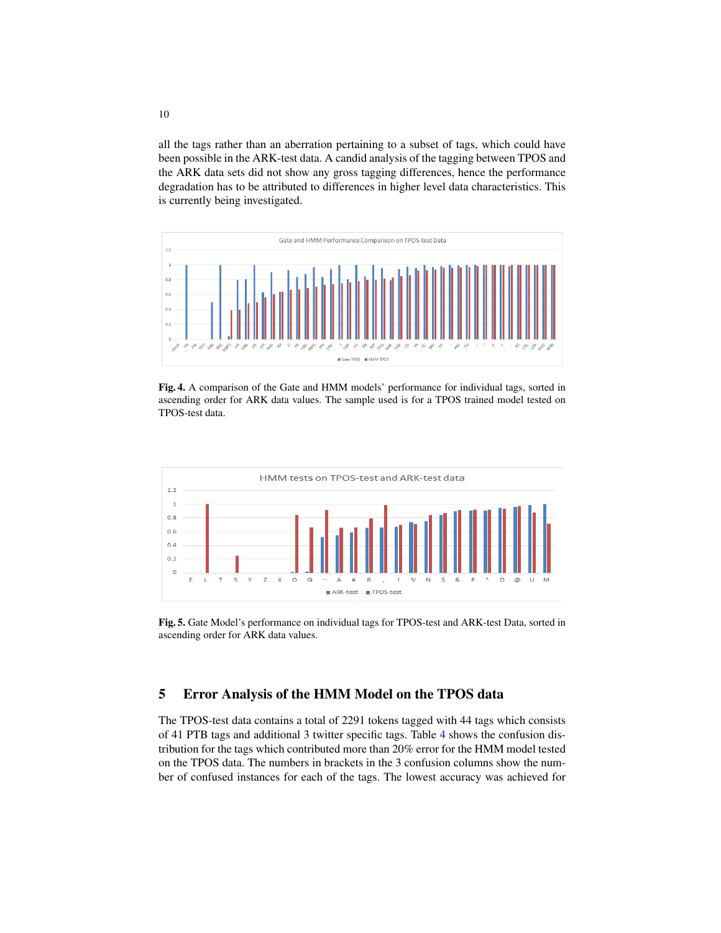all the tags rather than an aberration pertaining to a subset of tags, which could have been possible in the ARK-test data. A candid analysis of the tagging between TPOS and the ARK data sets did not show any gross tagging differences, hence the performance degradation has to be attributed to differences in higher level data characteristics. This is currently being investigated.



<span id="page-9-1"></span>Fig. 4. A comparison of the Gate and HMM models' performance for individual tags, sorted in ascending order for ARK data values. The sample used is for a TPOS trained model tested on TPOS-test data.



<span id="page-9-2"></span>Fig. 5. Gate Model's performance on individual tags for TPOS-test and ARK-test Data, sorted in ascending order for ARK data values.

# <span id="page-9-0"></span>5 Error Analysis of the HMM Model on the TPOS data

The TPOS-test data contains a total of 2291 tokens tagged with 44 tags which consists of 41 PTB tags and additional 3 twitter specific tags. Table [4](#page-10-1) shows the confusion distribution for the tags which contributed more than 20% error for the HMM model tested on the TPOS data. The numbers in brackets in the 3 confusion columns show the number of confused instances for each of the tags. The lowest accuracy was achieved for

10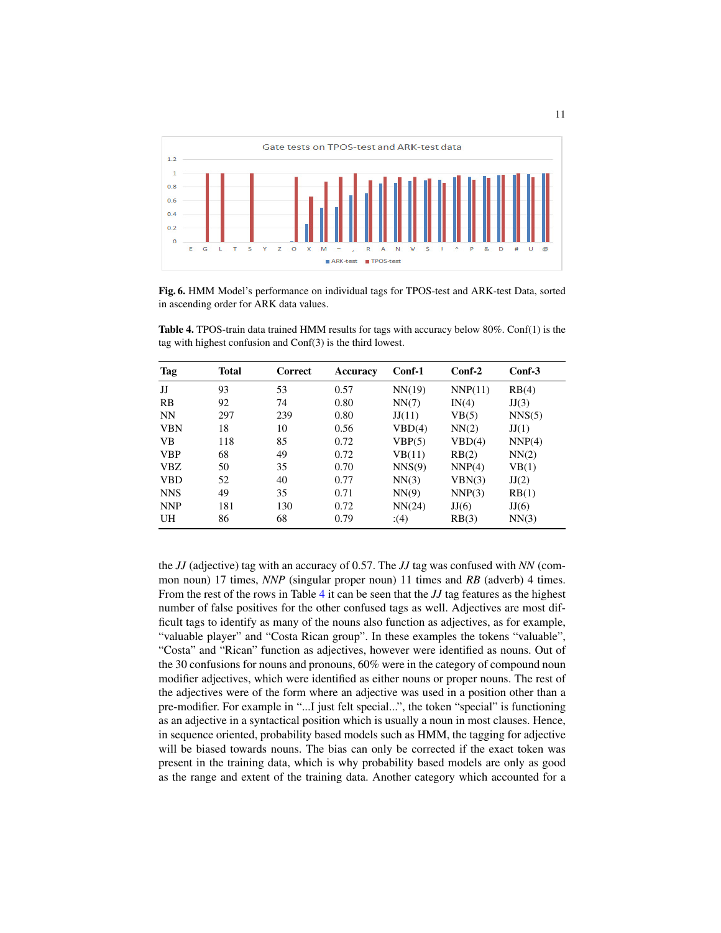

<span id="page-10-0"></span>Fig. 6. HMM Model's performance on individual tags for TPOS-test and ARK-test Data, sorted in ascending order for ARK data values.

| Tag        | <b>Total</b> | Correct | Accuracy | Conf-1 | $Conf-2$ | $Conf-3$ |
|------------|--------------|---------|----------|--------|----------|----------|
| JJ         | 93           | 53      | 0.57     | NN(19) | NNP(11)  | RB(4)    |
| RB         | 92           | 74      | 0.80     | NN(7)  | IN(4)    | JJ(3)    |
| <b>NN</b>  | 297          | 239     | 0.80     | JJ(11) | VB(5)    | NNS(5)   |
| <b>VBN</b> | 18           | 10      | 0.56     | VBD(4) | NN(2)    | JJ(1)    |
| VB         | 118          | 85      | 0.72     | VBP(5) | VBD(4)   | NNP(4)   |
| <b>VBP</b> | 68           | 49      | 0.72     | VB(11) | RB(2)    | NN(2)    |
| <b>VBZ</b> | 50           | 35      | 0.70     | NNS(9) | NNP(4)   | VB(1)    |
| <b>VBD</b> | 52           | 40      | 0.77     | NN(3)  | VBN(3)   | JJ(2)    |
| <b>NNS</b> | 49           | 35      | 0.71     | NN(9)  | NNP(3)   | RB(1)    |
| <b>NNP</b> | 181          | 130     | 0.72     | NN(24) | JJ(6)    | JJ(6)    |
| UH         | 86           | 68      | 0.79     | : (4)  | RB(3)    | NN(3)    |

<span id="page-10-1"></span>Table 4. TPOS-train data trained HMM results for tags with accuracy below 80%. Conf(1) is the tag with highest confusion and Conf(3) is the third lowest.

the *JJ* (adjective) tag with an accuracy of 0.57. The *JJ* tag was confused with *NN* (common noun) 17 times, *NNP* (singular proper noun) 11 times and *RB* (adverb) 4 times. From the rest of the rows in Table [4](#page-10-1) it can be seen that the *JJ* tag features as the highest number of false positives for the other confused tags as well. Adjectives are most difficult tags to identify as many of the nouns also function as adjectives, as for example, "valuable player" and "Costa Rican group". In these examples the tokens "valuable", "Costa" and "Rican" function as adjectives, however were identified as nouns. Out of the 30 confusions for nouns and pronouns, 60% were in the category of compound noun modifier adjectives, which were identified as either nouns or proper nouns. The rest of the adjectives were of the form where an adjective was used in a position other than a pre-modifier. For example in "...I just felt special...", the token "special" is functioning as an adjective in a syntactical position which is usually a noun in most clauses. Hence, in sequence oriented, probability based models such as HMM, the tagging for adjective will be biased towards nouns. The bias can only be corrected if the exact token was present in the training data, which is why probability based models are only as good as the range and extent of the training data. Another category which accounted for a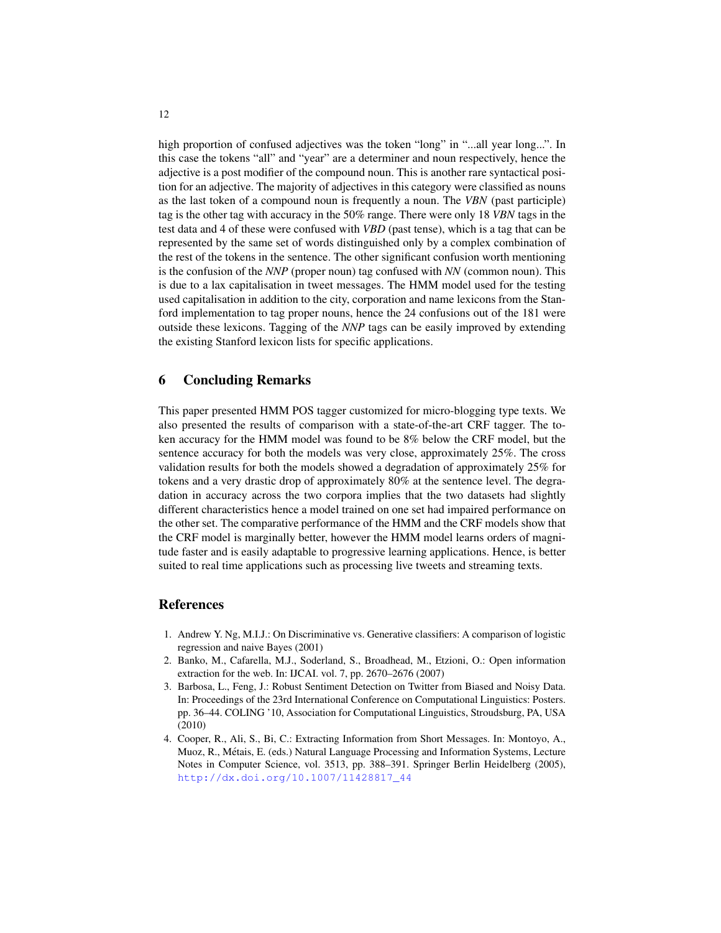high proportion of confused adjectives was the token "long" in "...all year long...". In this case the tokens "all" and "year" are a determiner and noun respectively, hence the adjective is a post modifier of the compound noun. This is another rare syntactical position for an adjective. The majority of adjectives in this category were classified as nouns as the last token of a compound noun is frequently a noun. The *VBN* (past participle) tag is the other tag with accuracy in the 50% range. There were only 18 *VBN* tags in the test data and 4 of these were confused with *VBD* (past tense), which is a tag that can be represented by the same set of words distinguished only by a complex combination of the rest of the tokens in the sentence. The other significant confusion worth mentioning is the confusion of the *NNP* (proper noun) tag confused with *NN* (common noun). This is due to a lax capitalisation in tweet messages. The HMM model used for the testing used capitalisation in addition to the city, corporation and name lexicons from the Stanford implementation to tag proper nouns, hence the 24 confusions out of the 181 were outside these lexicons. Tagging of the *NNP* tags can be easily improved by extending the existing Stanford lexicon lists for specific applications.

#### 6 Concluding Remarks

This paper presented HMM POS tagger customized for micro-blogging type texts. We also presented the results of comparison with a state-of-the-art CRF tagger. The token accuracy for the HMM model was found to be 8% below the CRF model, but the sentence accuracy for both the models was very close, approximately 25%. The cross validation results for both the models showed a degradation of approximately 25% for tokens and a very drastic drop of approximately 80% at the sentence level. The degradation in accuracy across the two corpora implies that the two datasets had slightly different characteristics hence a model trained on one set had impaired performance on the other set. The comparative performance of the HMM and the CRF models show that the CRF model is marginally better, however the HMM model learns orders of magnitude faster and is easily adaptable to progressive learning applications. Hence, is better suited to real time applications such as processing live tweets and streaming texts.

## References

- <span id="page-11-3"></span>1. Andrew Y. Ng, M.I.J.: On Discriminative vs. Generative classifiers: A comparison of logistic regression and naive Bayes (2001)
- <span id="page-11-2"></span>2. Banko, M., Cafarella, M.J., Soderland, S., Broadhead, M., Etzioni, O.: Open information extraction for the web. In: IJCAI. vol. 7, pp. 2670–2676 (2007)
- <span id="page-11-1"></span>3. Barbosa, L., Feng, J.: Robust Sentiment Detection on Twitter from Biased and Noisy Data. In: Proceedings of the 23rd International Conference on Computational Linguistics: Posters. pp. 36–44. COLING '10, Association for Computational Linguistics, Stroudsburg, PA, USA (2010)
- <span id="page-11-0"></span>4. Cooper, R., Ali, S., Bi, C.: Extracting Information from Short Messages. In: Montoyo, A., Muoz, R., Metais, E. (eds.) Natural Language Processing and Information Systems, Lecture ´ Notes in Computer Science, vol. 3513, pp. 388–391. Springer Berlin Heidelberg (2005), [http://dx.doi.org/10.1007/11428817\\_44](http://dx.doi.org/10.1007/11428817_44)